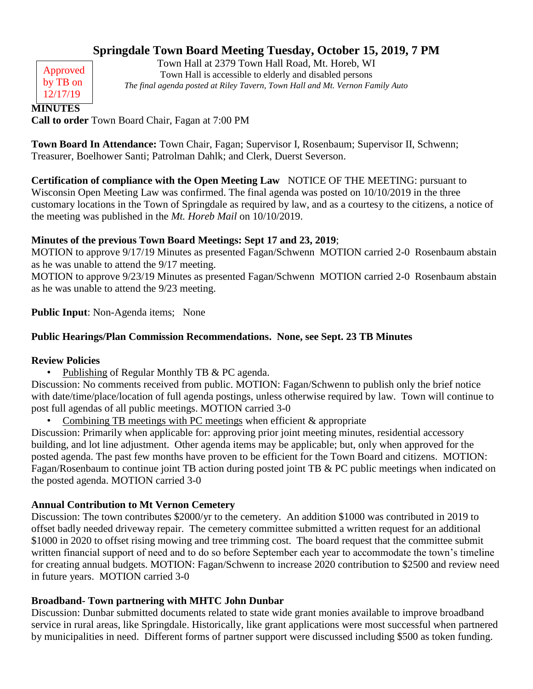# **Springdale Town Board Meeting Tuesday, October 15, 2019, 7 PM**

Approved by TB on 12/17/19

Town Hall at 2379 Town Hall Road, Mt. Horeb, WI Town Hall is accessible to elderly and disabled persons *The final agenda posted at Riley Tavern, Town Hall and Mt. Vernon Family Auto*

**MINUTES**

**Call to order** Town Board Chair, Fagan at 7:00 PM

**Town Board In Attendance:** Town Chair, Fagan; Supervisor I, Rosenbaum; Supervisor II, Schwenn; Treasurer, Boelhower Santi; Patrolman Dahlk; and Clerk, Duerst Severson.

**Certification of compliance with the Open Meeting Law** NOTICE OF THE MEETING: pursuant to Wisconsin Open Meeting Law was confirmed. The final agenda was posted on 10/10/2019 in the three customary locations in the Town of Springdale as required by law, and as a courtesy to the citizens, a notice of the meeting was published in the *Mt. Horeb Mail* on 10/10/2019.

# **Minutes of the previous Town Board Meetings: Sept 17 and 23, 2019**;

MOTION to approve 9/17/19 Minutes as presented Fagan/Schwenn MOTION carried 2-0 Rosenbaum abstain as he was unable to attend the 9/17 meeting.

MOTION to approve 9/23/19 Minutes as presented Fagan/Schwenn MOTION carried 2-0 Rosenbaum abstain as he was unable to attend the 9/23 meeting.

**Public Input**: Non-Agenda items; None

# **Public Hearings/Plan Commission Recommendations. None, see Sept. 23 TB Minutes**

### **Review Policies**

Publishing of Regular Monthly TB & PC agenda.

Discussion: No comments received from public. MOTION: Fagan/Schwenn to publish only the brief notice with date/time/place/location of full agenda postings, unless otherwise required by law. Town will continue to post full agendas of all public meetings. MOTION carried 3-0

Combining TB meetings with PC meetings when efficient  $\&$  appropriate

Discussion: Primarily when applicable for: approving prior joint meeting minutes, residential accessory building, and lot line adjustment. Other agenda items may be applicable; but, only when approved for the posted agenda. The past few months have proven to be efficient for the Town Board and citizens. MOTION: Fagan/Rosenbaum to continue joint TB action during posted joint TB & PC public meetings when indicated on the posted agenda. MOTION carried 3-0

# **Annual Contribution to Mt Vernon Cemetery**

Discussion: The town contributes \$2000/yr to the cemetery. An addition \$1000 was contributed in 2019 to offset badly needed driveway repair. The cemetery committee submitted a written request for an additional \$1000 in 2020 to offset rising mowing and tree trimming cost. The board request that the committee submit written financial support of need and to do so before September each year to accommodate the town's timeline for creating annual budgets. MOTION: Fagan/Schwenn to increase 2020 contribution to \$2500 and review need in future years. MOTION carried 3-0

# **Broadband- Town partnering with MHTC John Dunbar**

Discussion: Dunbar submitted documents related to state wide grant monies available to improve broadband service in rural areas, like Springdale. Historically, like grant applications were most successful when partnered by municipalities in need. Different forms of partner support were discussed including \$500 as token funding.